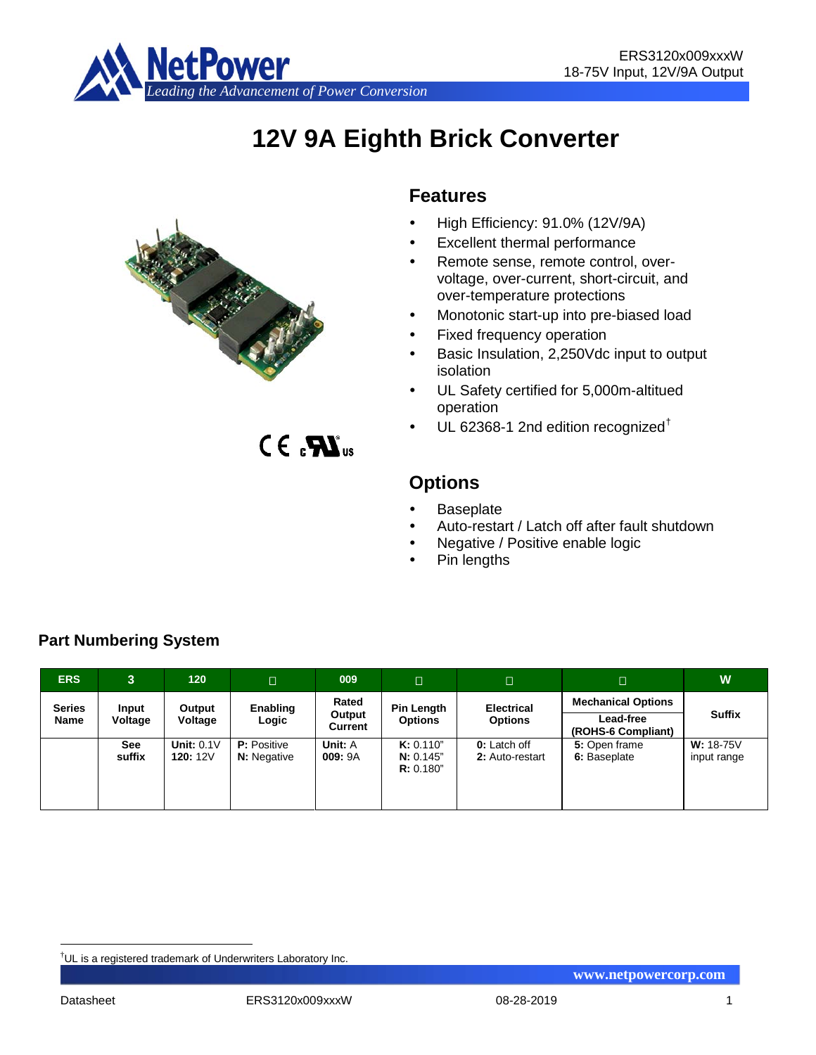

# **12V 9A Eighth Brick Converter**



 $C \in \mathbf{R}$ 

# **Features**

- High Efficiency: 91.0% (12V/9A)
- Excellent thermal performance
- Remote sense, remote control, overvoltage, over-current, short-circuit, and over-temperature protections
- Monotonic start-up into pre-biased load
- Fixed frequency operation
- Basic Insulation, 2,250Vdc input to output isolation
- UL Safety certified for 5,000m-altitued operation
- UL 62368-1 2nd edition recognized[†](#page-0-0)

**Options**

- **Baseplate**
- Auto-restart / Latch off after fault shutdown
- Negative / Positive enable logic
- Pin lengths

| <b>ERS</b>    | 3.           | 120 <sub>1</sub> | $\Box$             | 009               | $\Box$                 | $\Box$              | $\Box$        | W                 |                           |                                 |               |
|---------------|--------------|------------------|--------------------|-------------------|------------------------|---------------------|---------------|-------------------|---------------------------|---------------------------------|---------------|
| <b>Series</b> | <b>Input</b> | Output           | Enabling           | Rated             |                        |                     | Pin Length    | <b>Electrical</b> | <b>Mechanical Options</b> |                                 |               |
| Name          | Voltage      | Voltage          | Logic              | Output<br>Current | <b>Options</b>         |                     |               | <b>Options</b>    |                           | Lead-free<br>(ROHS-6 Compliant) | <b>Suffix</b> |
|               | <b>See</b>   | Unit: $0.1V$     | <b>P:</b> Positive | Unit: A           | K: 0.110"              | <b>0:</b> Latch off | 5: Open frame | $W: 18-75V$       |                           |                                 |               |
|               | suffix       | <b>120: 12V</b>  | <b>N:</b> Negative | 009: 9A           | N: 0.145"<br>R: 0.180" | 2: Auto-restart     | 6: Baseplate  | input range       |                           |                                 |               |

**Part Numbering System**

<span id="page-0-0"></span><sup>|&</sup>lt;br>|<br>| UL is a registered trademark of Underwriters Laboratory Inc.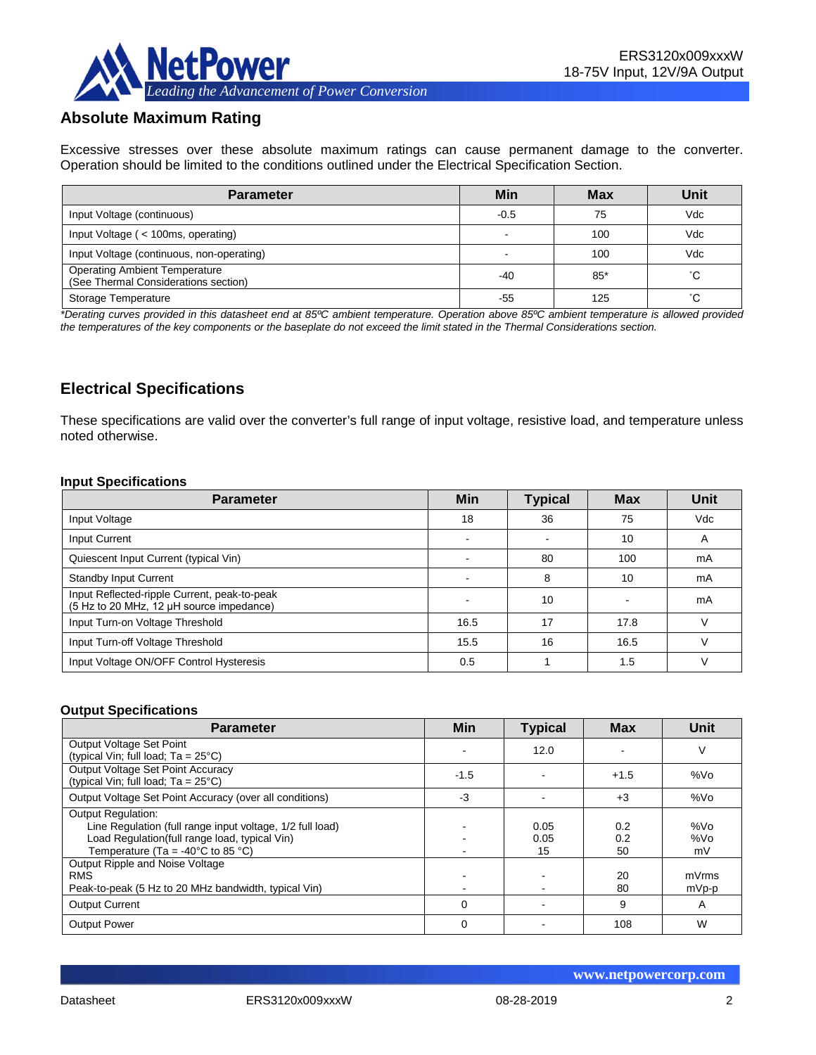

# **Absolute Maximum Rating**

Excessive stresses over these absolute maximum ratings can cause permanent damage to the converter. Operation should be limited to the conditions outlined under the Electrical Specification Section.

| <b>Parameter</b>                                                             | Min    | <b>Max</b> | Unit |
|------------------------------------------------------------------------------|--------|------------|------|
| Input Voltage (continuous)                                                   | $-0.5$ | 75         | Vdc  |
| Input Voltage (< 100ms, operating)                                           |        | 100        | Vdc  |
| Input Voltage (continuous, non-operating)                                    |        | 100        | Vdc  |
| <b>Operating Ambient Temperature</b><br>(See Thermal Considerations section) | -40    | $85*$      | °С   |
| Storage Temperature                                                          | -55    | 125        | °С   |

*\*Derating curves provided in this datasheet end at 85ºC ambient temperature. Operation above 85ºC ambient temperature is allowed provided the temperatures of the key components or the baseplate do not exceed the limit stated in the Thermal Considerations section.*

# **Electrical Specifications**

These specifications are valid over the converter's full range of input voltage, resistive load, and temperature unless noted otherwise.

#### **Input Specifications**

| <b>Parameter</b>                                                                         | <b>Min</b> | <b>Typical</b> | <b>Max</b> | Unit |
|------------------------------------------------------------------------------------------|------------|----------------|------------|------|
| Input Voltage                                                                            | 18         | 36             | 75         | Vdc  |
| Input Current                                                                            |            |                | 10         | A    |
| Quiescent Input Current (typical Vin)                                                    |            | 80             | 100        | mA   |
| <b>Standby Input Current</b>                                                             |            | 8              | 10         | mA   |
| Input Reflected-ripple Current, peak-to-peak<br>(5 Hz to 20 MHz, 12 µH source impedance) |            | 10             |            | mA   |
| Input Turn-on Voltage Threshold                                                          | 16.5       | 17             | 17.8       |      |
| Input Turn-off Voltage Threshold                                                         | 15.5       | 16             | 16.5       |      |
| Input Voltage ON/OFF Control Hysteresis                                                  | 0.5        |                | 1.5        |      |

#### **Output Specifications**

| <b>Parameter</b>                                                                                                                                                                                  | <b>Min</b> | <b>Typical</b>     | <b>Max</b>       | Unit             |
|---------------------------------------------------------------------------------------------------------------------------------------------------------------------------------------------------|------------|--------------------|------------------|------------------|
| Output Voltage Set Point<br>(typical Vin; full load; $Ta = 25^{\circ}C$ )                                                                                                                         |            | 12.0               |                  | ٧                |
| Output Voltage Set Point Accuracy<br>(typical Vin; full load; $Ta = 25^{\circ}C$ )                                                                                                                | $-1.5$     |                    | $+1.5$           | %Vo              |
| Output Voltage Set Point Accuracy (over all conditions)                                                                                                                                           | -3         |                    | $+3$             | %Vo              |
| <b>Output Regulation:</b><br>Line Regulation (full range input voltage, 1/2 full load)<br>Load Regulation(full range load, typical Vin)<br>Temperature (Ta = -40 $^{\circ}$ C to 85 $^{\circ}$ C) |            | 0.05<br>0.05<br>15 | 0.2<br>0.2<br>50 | %Vo<br>%Vo<br>mV |
| Output Ripple and Noise Voltage<br><b>RMS</b><br>Peak-to-peak (5 Hz to 20 MHz bandwidth, typical Vin)                                                                                             |            |                    | 20<br>80         | mVrms<br>mVp-p   |
| <b>Output Current</b>                                                                                                                                                                             | 0          |                    | 9                | A                |
| <b>Output Power</b>                                                                                                                                                                               | 0          |                    | 108              | W                |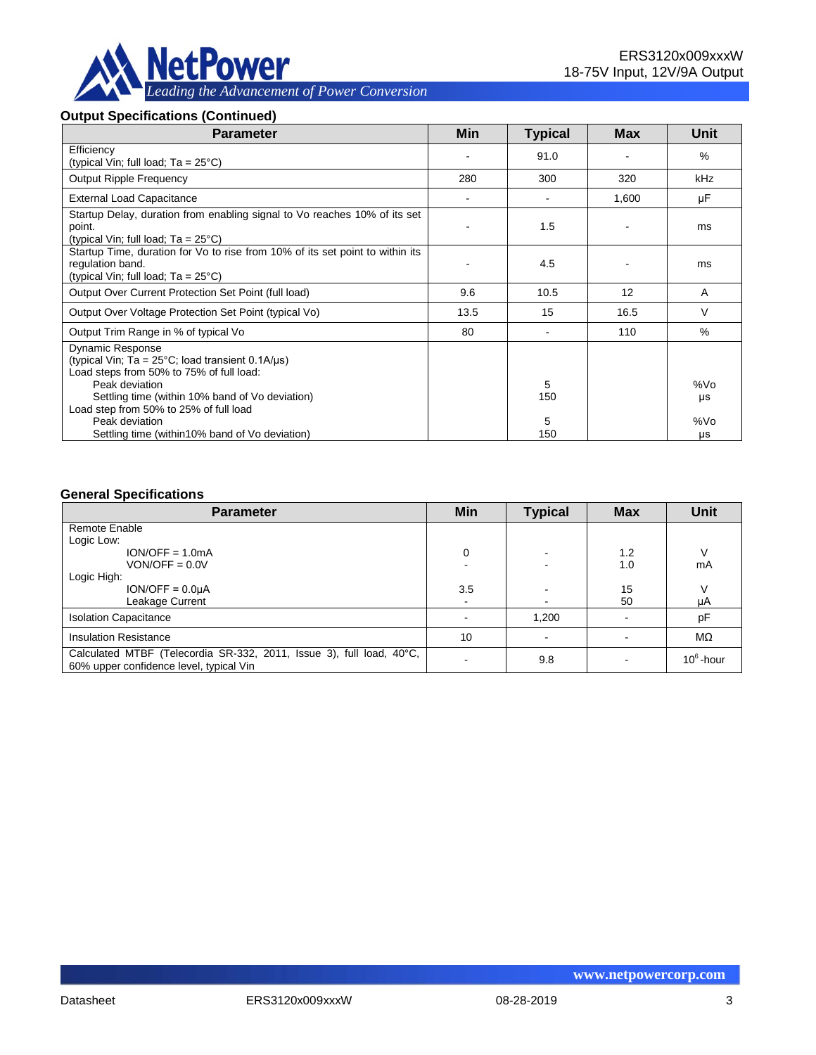

#### **Output Specifications (Continued)**

| <b>Parameter</b>                                                                                                                                                                                                                                                         | Min  | <b>Typical</b> | <b>Max</b> | <b>Unit</b>      |
|--------------------------------------------------------------------------------------------------------------------------------------------------------------------------------------------------------------------------------------------------------------------------|------|----------------|------------|------------------|
| Efficiency<br>(typical Vin; full load; $Ta = 25^{\circ}C$ )                                                                                                                                                                                                              |      | 91.0           |            | $\%$             |
| <b>Output Ripple Frequency</b>                                                                                                                                                                                                                                           | 280  | 300            | 320        | <b>kHz</b>       |
| <b>External Load Capacitance</b>                                                                                                                                                                                                                                         |      |                | 1,600      | μF               |
| Startup Delay, duration from enabling signal to Vo reaches 10% of its set<br>point.<br>(typical Vin; full load; $Ta = 25^{\circ}C$ )                                                                                                                                     |      | 1.5            |            | ms               |
| Startup Time, duration for Vo to rise from 10% of its set point to within its<br>regulation band.<br>(typical Vin; full load; $Ta = 25^{\circ}C$ )                                                                                                                       |      | 4.5            |            | ms               |
| Output Over Current Protection Set Point (full load)                                                                                                                                                                                                                     | 9.6  | 10.5           | 12         | A                |
| Output Over Voltage Protection Set Point (typical Vo)                                                                                                                                                                                                                    | 13.5 | 15             | 16.5       | V                |
| Output Trim Range in % of typical Vo                                                                                                                                                                                                                                     | 80   |                | 110        | $\%$             |
| <b>Dynamic Response</b><br>(typical Vin; Ta = $25^{\circ}$ C; load transient 0.1A/ $\mu$ s)<br>Load steps from 50% to 75% of full load:<br>Peak deviation<br>Settling time (within 10% band of Vo deviation)<br>Load step from 50% to 25% of full load<br>Peak deviation |      | 5<br>150<br>5  |            | %Vo<br>μs<br>%Vo |
| Settling time (within 10% band of Vo deviation)                                                                                                                                                                                                                          |      | 150            |            | μs               |

#### **General Specifications**

| <b>Parameter</b>                                                                                                | Min            | <b>Typical</b> | <b>Max</b> | <b>Unit</b>  |
|-----------------------------------------------------------------------------------------------------------------|----------------|----------------|------------|--------------|
| Remote Enable                                                                                                   |                |                |            |              |
| Logic Low:                                                                                                      |                |                |            |              |
| $ION/OFF = 1.0mA$                                                                                               | 0              |                | 1.2        |              |
| $VON/OFF = 0.0V$                                                                                                |                |                | 1.0        | mA           |
| Logic High:                                                                                                     |                |                |            |              |
| $ION/OFF = 0.0µA$                                                                                               | 3.5            |                | 15         |              |
| Leakage Current                                                                                                 | $\blacksquare$ |                | 50         | μA           |
| <b>Isolation Capacitance</b>                                                                                    |                | 1,200          |            | pF           |
| <b>Insulation Resistance</b>                                                                                    | 10             |                |            | MΩ           |
| Calculated MTBF (Telecordia SR-332, 2011, Issue 3), full load, 40°C,<br>60% upper confidence level, typical Vin |                | 9.8            |            | $10^6$ -hour |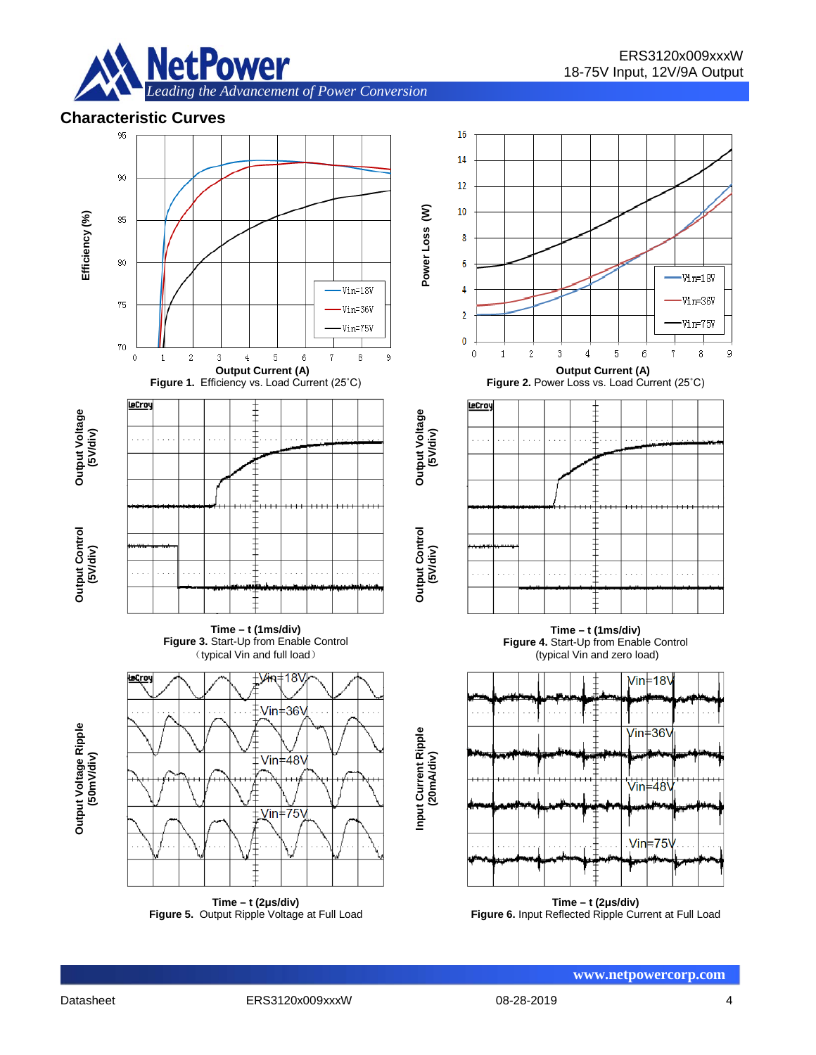

# **Characteristic Curves**



**Time – t (2μs/div) Figure 5.** Output Ripple Voltage at Full Load

**Time – t (2μs/div) Figure 6.** Input Reflected Ripple Current at Full Load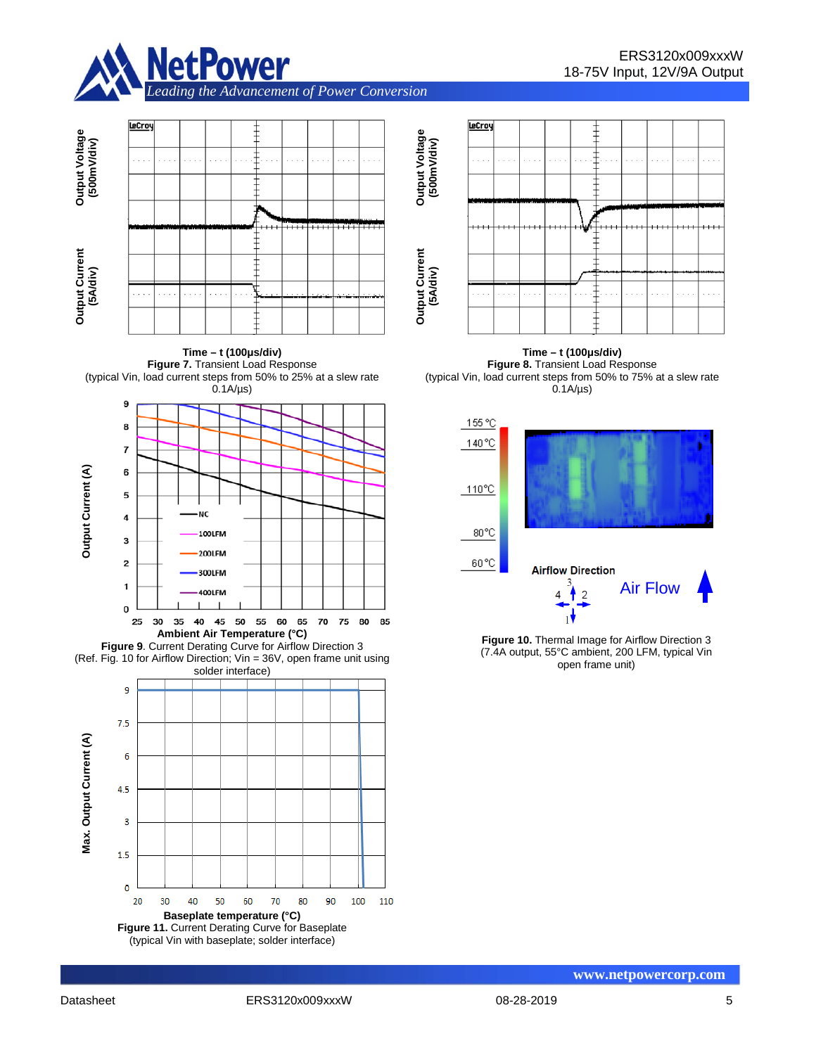



**Time – t (100μs/div) Figure 7.** Transient Load Response (typical Vin, load current steps from 50% to 25% at a slew rate



**Figure 9**. Current Derating Curve for Airflow Direction 3 (Ref. Fig. 10 for Airflow Direction; Vin = 36V, open frame unit using solder interface)





**Time – t (100μs/div) Figure 8.** Transient Load Response (typical Vin, load current steps from 50% to 75% at a slew rate  $0.1A/\mu s$ 



**Figure 10.** Thermal Image for Airflow Direction 3 (7.4A output, 55°C ambient, 200 LFM, typical Vin open frame unit)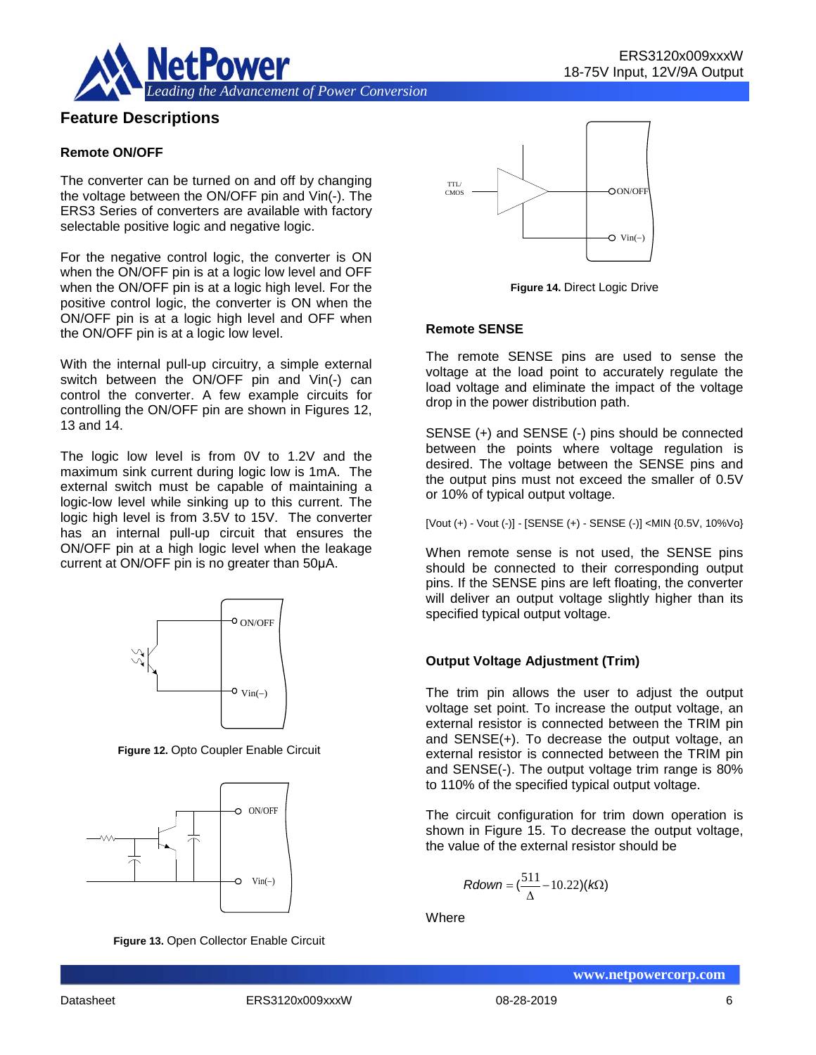



## **Feature Descriptions**

#### **Remote ON/OFF**

The converter can be turned on and off by changing the voltage between the ON/OFF pin and Vin(-). The ERS3 Series of converters are available with factory selectable positive logic and negative logic.

For the negative control logic, the converter is ON when the ON/OFF pin is at a logic low level and OFF when the ON/OFF pin is at a logic high level. For the positive control logic, the converter is ON when the ON/OFF pin is at a logic high level and OFF when the ON/OFF pin is at a logic low level.

With the internal pull-up circuitry, a simple external switch between the ON/OFF pin and Vin(-) can control the converter. A few example circuits for controlling the ON/OFF pin are shown in Figures 12, 13 and 14.

The logic low level is from 0V to 1.2V and the maximum sink current during logic low is 1mA. The external switch must be capable of maintaining a logic-low level while sinking up to this current. The logic high level is from 3.5V to 15V. The converter has an internal pull-up circuit that ensures the ON/OFF pin at a high logic level when the leakage current at ON/OFF pin is no greater than 50μA.



**Figure 12.** Opto Coupler Enable Circuit



**Figure 13.** Open Collector Enable Circuit



**Figure 14.** Direct Logic Drive

#### **Remote SENSE**

The remote SENSE pins are used to sense the voltage at the load point to accurately regulate the load voltage and eliminate the impact of the voltage drop in the power distribution path.

SENSE (+) and SENSE (-) pins should be connected between the points where voltage regulation is desired. The voltage between the SENSE pins and the output pins must not exceed the smaller of 0.5V or 10% of typical output voltage.

[Vout (+) - Vout (-)] - [SENSE (+) - SENSE (-)] <MIN {0.5V, 10%Vo}

When remote sense is not used, the SENSE pins should be connected to their corresponding output pins. If the SENSE pins are left floating, the converter will deliver an output voltage slightly higher than its specified typical output voltage.

## **Output Voltage Adjustment (Trim)**

The trim pin allows the user to adjust the output voltage set point. To increase the output voltage, an external resistor is connected between the TRIM pin and SENSE(+). To decrease the output voltage, an external resistor is connected between the TRIM pin and SENSE(-). The output voltage trim range is 80% to 110% of the specified typical output voltage.

The circuit configuration for trim down operation is shown in Figure 15. To decrease the output voltage, the value of the external resistor should be

$$
Rdown = (\frac{511}{\Delta} - 10.22)(k\Omega)
$$

**Where**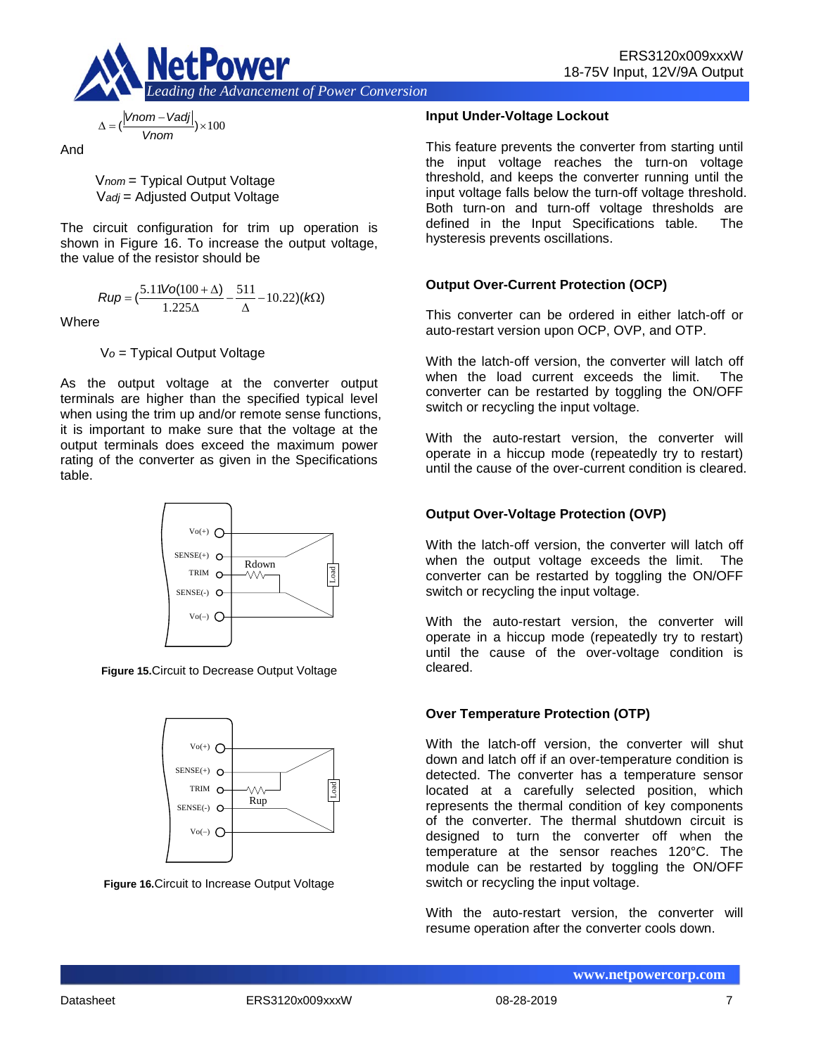

$$
\Delta = \left(\frac{|Vnom - Vadj|}{Vnom}\right) \times 100
$$

And

V*nom* = Typical Output Voltage V*adj* = Adjusted Output Voltage

The circuit configuration for trim up operation is shown in Figure 16. To increase the output voltage, the value of the resistor should be

$$
Rup = \left(\frac{5.11\text{Vol}(100 + \Delta)}{1.225\Delta} - \frac{511}{\Delta} - 10.22\right)(k\Omega)
$$

**Where** 

V*o* = Typical Output Voltage

As the output voltage at the converter output terminals are higher than the specified typical level when using the trim up and/or remote sense functions, it is important to make sure that the voltage at the output terminals does exceed the maximum power rating of the converter as given in the Specifications table.



**Figure 15.**Circuit to Decrease Output Voltage



**Figure 16.**Circuit to Increase Output Voltage

## **Input Under-Voltage Lockout**

This feature prevents the converter from starting until the input voltage reaches the turn-on voltage threshold, and keeps the converter running until the input voltage falls below the turn-off voltage threshold. Both turn-on and turn-off voltage thresholds are defined in the Input Specifications table. The hysteresis prevents oscillations.

## **Output Over-Current Protection (OCP)**

This converter can be ordered in either latch-off or auto-restart version upon OCP, OVP, and OTP.

With the latch-off version, the converter will latch off when the load current exceeds the limit. The converter can be restarted by toggling the ON/OFF switch or recycling the input voltage.

With the auto-restart version, the converter will operate in a hiccup mode (repeatedly try to restart) until the cause of the over-current condition is cleared.

## **Output Over-Voltage Protection (OVP)**

With the latch-off version, the converter will latch off when the output voltage exceeds the limit. The converter can be restarted by toggling the ON/OFF switch or recycling the input voltage.

With the auto-restart version, the converter will operate in a hiccup mode (repeatedly try to restart) until the cause of the over-voltage condition is cleared.

## **Over Temperature Protection (OTP)**

With the latch-off version, the converter will shut down and latch off if an over-temperature condition is detected. The converter has a temperature sensor located at a carefully selected position, which represents the thermal condition of key components of the converter. The thermal shutdown circuit is designed to turn the converter off when the temperature at the sensor reaches 120°C. The module can be restarted by toggling the ON/OFF switch or recycling the input voltage.

With the auto-restart version, the converter will resume operation after the converter cools down.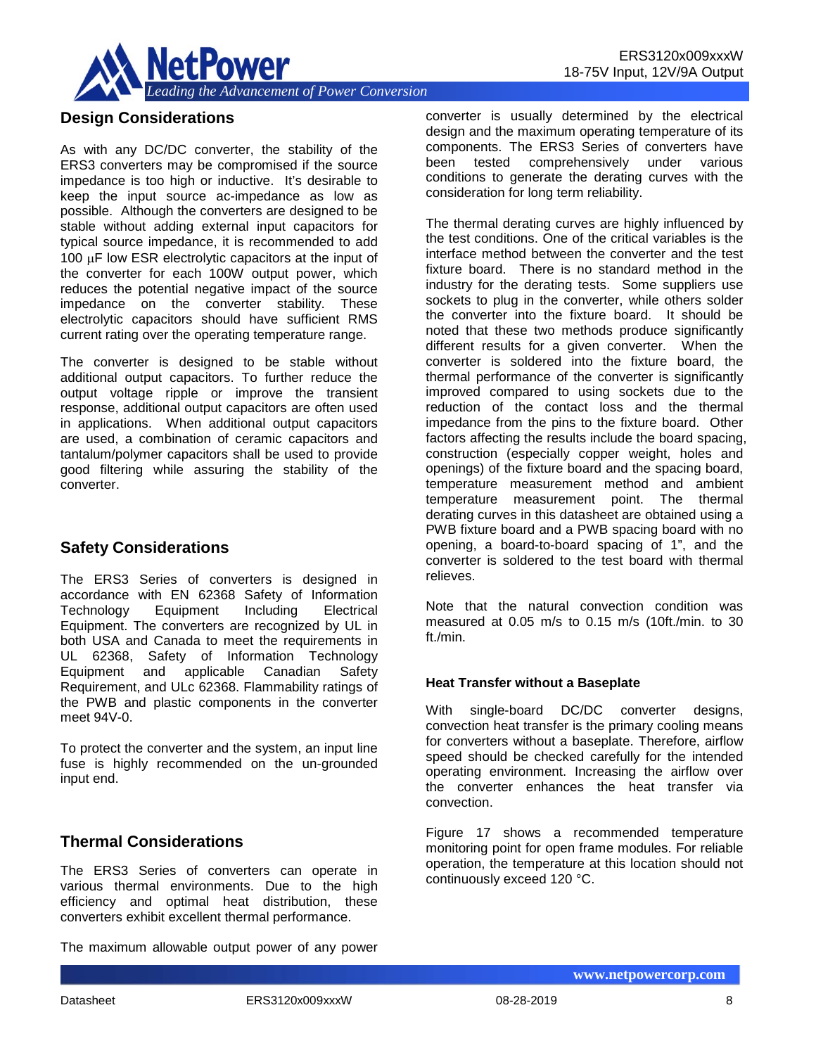

## **Design Considerations**

As with any DC/DC converter, the stability of the ERS3 converters may be compromised if the source impedance is too high or inductive. It's desirable to keep the input source ac-impedance as low as possible. Although the converters are designed to be stable without adding external input capacitors for typical source impedance, it is recommended to add 100 µF low ESR electrolytic capacitors at the input of the converter for each 100W output power, which reduces the potential negative impact of the source impedance on the converter stability. These electrolytic capacitors should have sufficient RMS current rating over the operating temperature range.

The converter is designed to be stable without additional output capacitors. To further reduce the output voltage ripple or improve the transient response, additional output capacitors are often used in applications. When additional output capacitors are used, a combination of ceramic capacitors and tantalum/polymer capacitors shall be used to provide good filtering while assuring the stability of the converter.

# **Safety Considerations**

The ERS3 Series of converters is designed in accordance with EN 62368 Safety of Information Technology Equipment Including Electrical Equipment. The converters are recognized by UL in both USA and Canada to meet the requirements in UL 62368, Safety of Information Technology Equipment and applicable Canadian Safety Requirement, and ULc 62368. Flammability ratings of the PWB and plastic components in the converter meet 94V-0.

To protect the converter and the system, an input line fuse is highly recommended on the un-grounded input end.

# **Thermal Considerations**

The ERS3 Series of converters can operate in various thermal environments. Due to the high efficiency and optimal heat distribution, these converters exhibit excellent thermal performance.

The maximum allowable output power of any power

converter is usually determined by the electrical design and the maximum operating temperature of its components. The ERS3 Series of converters have been tested comprehensively under various conditions to generate the derating curves with the

consideration for long term reliability.

The thermal derating curves are highly influenced by the test conditions. One of the critical variables is the interface method between the converter and the test fixture board. There is no standard method in the industry for the derating tests. Some suppliers use sockets to plug in the converter, while others solder the converter into the fixture board. It should be noted that these two methods produce significantly different results for a given converter. When the converter is soldered into the fixture board, the thermal performance of the converter is significantly improved compared to using sockets due to the reduction of the contact loss and the thermal impedance from the pins to the fixture board. Other factors affecting the results include the board spacing, construction (especially copper weight, holes and openings) of the fixture board and the spacing board, temperature measurement method and ambient temperature measurement point. The thermal derating curves in this datasheet are obtained using a PWB fixture board and a PWB spacing board with no opening, a board-to-board spacing of 1", and the converter is soldered to the test board with thermal relieves.

Note that the natural convection condition was measured at 0.05 m/s to 0.15 m/s (10ft./min. to 30 ft./min.

## **Heat Transfer without a Baseplate**

With single-board DC/DC converter designs, convection heat transfer is the primary cooling means for converters without a baseplate. Therefore, airflow speed should be checked carefully for the intended operating environment. Increasing the airflow over the converter enhances the heat transfer via convection.

Figure 17 shows a recommended temperature monitoring point for open frame modules. For reliable operation, the temperature at this location should not continuously exceed 120 °C.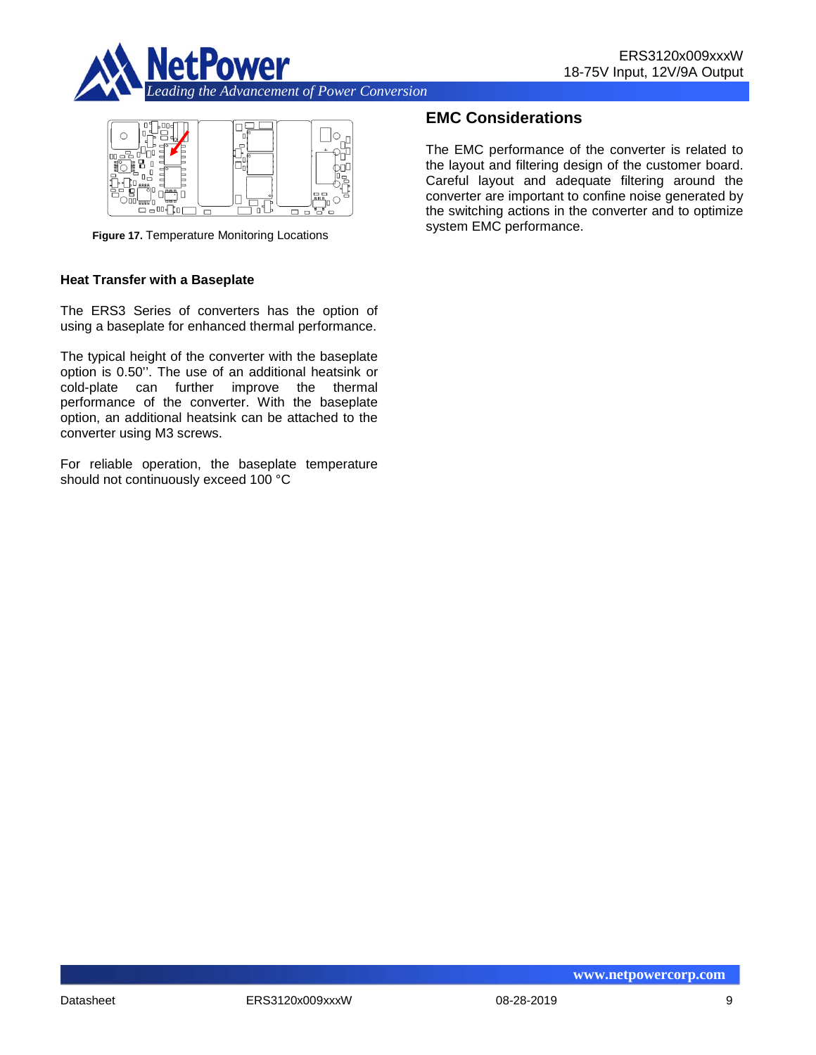



**Figure 17.** Temperature Monitoring Locations

#### **Heat Transfer with a Baseplate**

The ERS3 Series of converters has the option of using a baseplate for enhanced thermal performance.

The typical height of the converter with the baseplate option is 0.50''. The use of an additional heatsink or cold-plate can further improve the thermal performance of the converter. With the baseplate option, an additional heatsink can be attached to the converter using M3 screws.

For reliable operation, the baseplate temperature should not continuously exceed 100 °C

## **EMC Considerations**

The EMC performance of the converter is related to the layout and filtering design of the customer board. Careful layout and adequate filtering around the converter are important to confine noise generated by the switching actions in the converter and to optimize system EMC performance.